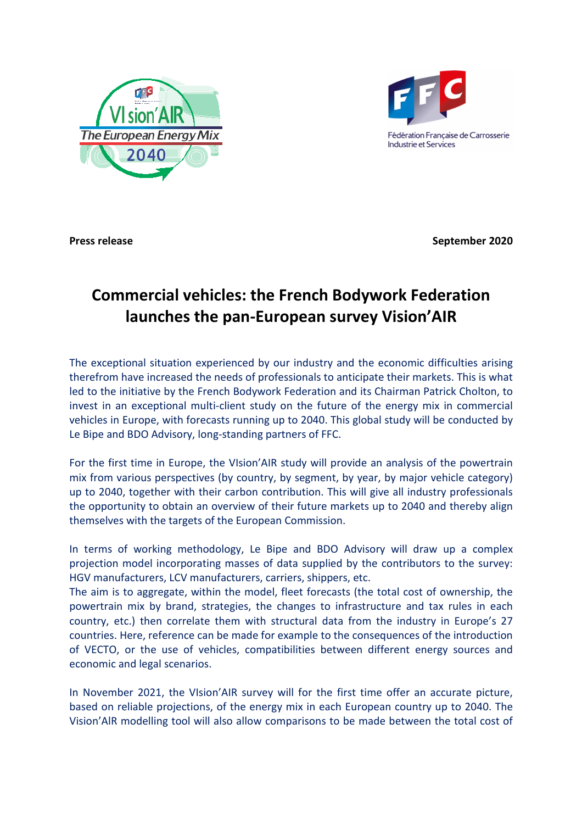



**Press release September 2020 September 2020** 

## **Commercial vehicles: the French Bodywork Federation launches the pan-European survey Vision'AIR**

The exceptional situation experienced by our industry and the economic difficulties arising therefrom have increased the needs of professionals to anticipate their markets. This is what led to the initiative by the French Bodywork Federation and its Chairman Patrick Cholton, to invest in an exceptional multi-client study on the future of the energy mix in commercial vehicles in Europe, with forecasts running up to 2040. This global study will be conducted by Le Bipe and BDO Advisory, long-standing partners of FFC.

For the first time in Europe, the VIsion'AIR study will provide an analysis of the powertrain mix from various perspectives (by country, by segment, by year, by major vehicle category) up to 2040, together with their carbon contribution. This will give all industry professionals the opportunity to obtain an overview of their future markets up to 2040 and thereby align themselves with the targets of the European Commission.

In terms of working methodology, Le Bipe and BDO Advisory will draw up a complex projection model incorporating masses of data supplied by the contributors to the survey: HGV manufacturers, LCV manufacturers, carriers, shippers, etc.

The aim is to aggregate, within the model, fleet forecasts (the total cost of ownership, the powertrain mix by brand, strategies, the changes to infrastructure and tax rules in each country, etc.) then correlate them with structural data from the industry in Europe's 27 countries. Here, reference can be made for example to the consequences of the introduction of VECTO, or the use of vehicles, compatibilities between different energy sources and economic and legal scenarios.

In November 2021, the VIsion'AIR survey will for the first time offer an accurate picture, based on reliable projections, of the energy mix in each European country up to 2040. The Vision'AlR modelling tool will also allow comparisons to be made between the total cost of